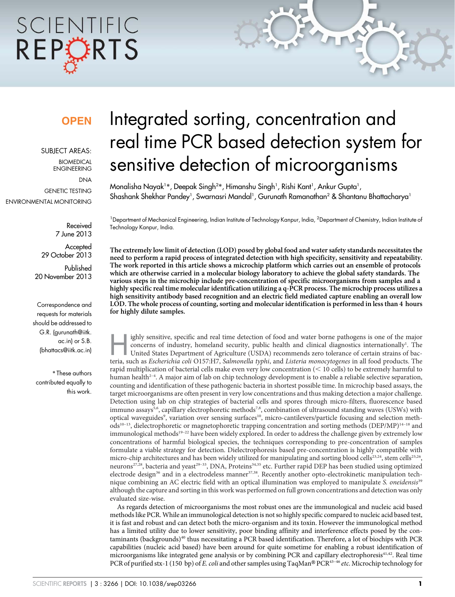# SCIENTIFIC REPORTS

### **OPEN**

SUBJECT AREAS:

BIOMEDICAL ENGINEERING **DNA** GENETIC TESTING ENVIRONMENTAL MONITORING

> Received 7 June 2013

**Accepted** 29 October 2013

Published 20 November 2013

Correspondence and requests for materials should be addressed to G.R. (gurunath@iitk. ac.in) or S.B. (bhattacs@iitk.ac.in)

\* These authors contributed equally to this work.

## Integrated sorting, concentration and real time PCR based detection system for sensitive detection of microorganisms

Monalisha Nayak1\*, Deepak Singh<sup>2</sup>\*, Himanshu Singh<sup>1</sup>, Rishi Kant<sup>1</sup>, Ankur Gupta<sup>1</sup>, Shashank Shekhar Pandey<sup>1</sup>, Swarnasri Mandal<sup>1</sup>, Gurunath Ramanathan<sup>2</sup> & Shantanu Bhattacharya<sup>1</sup>

<sup>1</sup>Department of Mechanical Engineering, Indian Institute of Technology Kanpur, India, <sup>2</sup>Department of Chemistry, Indian Institute of Technology Kanpur, India.

The extremely low limit of detection (LOD) posed by global food and water safety standards necessitates the need to perform a rapid process of integrated detection with high specificity, sensitivity and repeatability. The work reported in this article shows a microchip platform which carries out an ensemble of protocols which are otherwise carried in a molecular biology laboratory to achieve the global safety standards. The various steps in the microchip include pre-concentration of specific microorganisms from samples and a highly specific real time molecular identification utilizing a q-PCR process. The microchip process utilizes a high sensitivity antibody based recognition and an electric field mediated capture enabling an overall low LOD. The whole process of counting, sorting and molecular identification is performed in less than 4 hours for highly dilute samples.

ighly sensitive, specific and real time detection of food and water borne pathogens is one of the major concerns of industry, homeland security, public health and clinical diagnostics internationally<sup>1</sup>. The United States ighly sensitive, specific and real time detection of food and water borne pathogens is one of the major concerns of industry, homeland security, public health and clinical diagnostics internationally<sup>1</sup>. The United States Department of Agriculture (USDA) recommends zero tolerance of certain strains of bac-

rapid multiplication of bacterial cells make even very low concentration  $(< 10$  cells) to be extremely harmful to human health<sup>2-4</sup>. A major aim of lab on chip technology development is to enable a reliable selective separation, counting and identification of these pathogenic bacteria in shortest possible time. In microchip based assays, the target microorganisms are often present in very low concentrations and thus making detection a major challenge. Detection using lab on chip strategies of bacterial cells and spores through micro-filters, fluorescence based immuno assays<sup>5,6</sup>, capillary electrophoretic methods<sup>7,8</sup>, combination of ultrasound standing waves (USWs) with optical waveguides<sup>9</sup>, variation over sensing surfaces<sup>10</sup>, micro-cantilevers/particle focusing and selection meth $ods<sup>10–13</sup>$ , dielectrophoretic or magnetophoretic trapping concentration and sorting methods (DEP/MP)<sup>14–18</sup> and immunological methods<sup>19-22</sup> have been widely explored. In order to address the challenge given by extremely low concentrations of harmful biological species, the techniques corresponding to pre-concentration of samples formulate a viable strategy for detection. Dielectrophoresis based pre-concentration is highly compatible with micro-chip architectures and has been widely utilized for manipulating and sorting blood cells<sup>23,24</sup>, stem cells<sup>25,26</sup>, neurons<sup>27,28</sup>, bacteria and yeast<sup>29–33</sup>, DNA, Proteins<sup>34,35</sup> etc. Further rapid DEP has been studied using optimized electrode design<sup>36</sup> and in a electrodeless manner<sup>37,38</sup>. Recently another opto-electrokinetic manipulation technique combining an AC electric field with an optical illumination was employed to manipulate *S. oneidensis*<sup>39</sup> although the capture and sorting in this work was performed on full grown concentrations and detection was only evaluated size-wise.

As regards detection of microorganisms the most robust ones are the immunological and nucleic acid based methods like PCR. While an immunological detection is not so highly specific compared to nucleic acid based test, it is fast and robust and can detect both the micro-organism and its toxin. However the immunological method has a limited utility due to lower sensitivity, poor binding affinity and interference effects posed by the contaminants (backgrounds)<sup>40</sup> thus necessitating a PCR based identification. Therefore, a lot of biochips with PCR capabilities (nucleic acid based) have been around for quite sometime for enabling a robust identification of microorganisms like integrated gene analysis or by combining PCR and capillary electrophoresis<sup>41,42</sup>. Real time PCR of purified stx-1 (150 bp) of *E. coli* and other samples using TaqMan® PCR<sup>43–46</sup> *etc*. Microchip technology for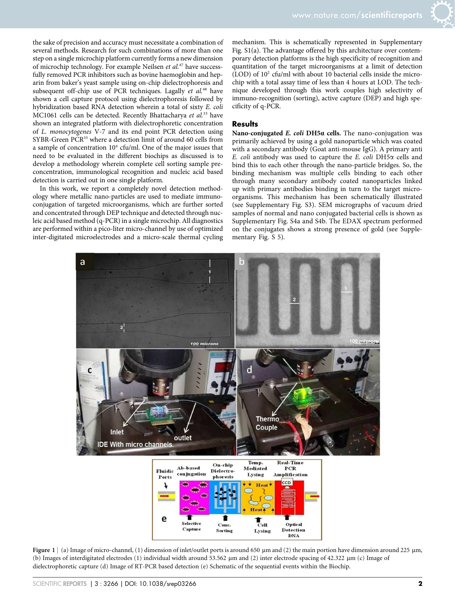the sake of precision and accuracy must necessitate a combination of several methods. Research for such combinations of more than one step on a single microchip platform currently forms a new dimension of microchip technology. For example Neilsen *et al.*<sup>47</sup> have successfully removed PCR inhibitors such as bovine haemoglobin and heparin from baker's yeast sample using on-chip dielectrophoresis and subsequent off-chip use of PCR techniques. Lagally *et al.*<sup>48</sup> have shown a cell capture protocol using dielectrophoresis followed by hybridization based RNA detection wherein a total of sixty *E. coli* MC1061 cells can be detected. Recently Bhattacharya *et al.*<sup>33</sup> have shown an integrated platform with dielectrophoretic concentration of *L. monocytogenes* V-7 and its end point PCR detection using SYBR-Green PCR<sup>33</sup> where a detection limit of around 60 cells from a sample of concentration  $10^4$  cfu/ml. One of the major issues that need to be evaluated in the different biochips as discussed is to develop a methodology wherein complete cell sorting sample preconcentration, immunological recognition and nucleic acid based detection is carried out in one single platform.

In this work, we report a completely novel detection methodology where metallic nano-particles are used to mediate immunoconjugation of targeted microorganisms, which are further sorted and concentrated through DEP technique and detected through nucleic acid based method (q-PCR) in a single microchip. All diagnostics are performed within a pico-liter micro-channel by use of optimized inter-digitated microelectrodes and a micro-scale thermal cycling

mechanism. This is schematically represented in Supplementary Fig. S1(a). The advantage offered by this architecture over contemporary detection platforms is the high specificity of recognition and quantitation of the target microorganisms at a limit of detection  $(LOD)$  of  $10<sup>2</sup>$  cfu/ml with about 10 bacterial cells inside the microchip with a total assay time of less than 4 hours at LOD. The technique developed through this work couples high selectivity of immuno-recognition (sorting), active capture (DEP) and high specificity of q-PCR.

#### **Results**

Nano-conjugated  $E$ . coli DH5 $\alpha$  cells. The nano-conjugation was primarily achieved by using a gold nanoparticle which was coated with a secondary antibody (Goat anti-mouse IgG). A primary anti *E. coli* antibody was used to capture the *E. coli* DH5a cells and bind this to each other through the nano-particle bridges. So, the binding mechanism was multiple cells binding to each other through many secondary antibody coated nanoparticles linked up with primary antibodies binding in turn to the target microorganisms. This mechanism has been schematically illustrated (see Supplementary Fig. S3). SEM micrographs of vacuum dried samples of normal and nano conjugated bacterial cells is shown as Supplementary Fig. S4a and S4b. The EDAX spectrum performed on the conjugates shows a strong presence of gold (see Supplementary Fig. S 5).



Figure 1 | (a) Image of micro-channel, (1) dimension of inlet/outlet ports is around 650  $\mu$ m and (2) the main portion have dimension around 225  $\mu$ m, (b) Images of interdigitated electrodes (1) individual width around 53.562 µm and (2) inter electrode spacing of 42.322 µm (c) Image of dielectrophoretic capture (d) Image of RT-PCR based detection (e) Schematic of the sequential events within the Biochip.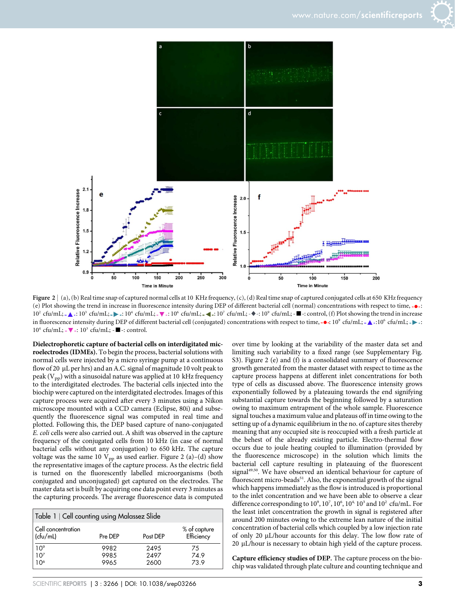



Figure  $2 \mid (a)$ , (b) Real time snap of captured normal cells at 10 KHz frequency, (c), (d) Real time snap of captured conjugated cells at 650 KHz frequency (e) Plot showing the trend in increase in fluorescence intensity during DEP of different bacterial cell (normal) concentrations with respect to time, - $\bullet$ -:  $10^2$  cfu/mL;  $\blacktriangle$  -:  $10^3$  cfu/mL;  $\blacktriangleright$  -:  $10^4$  cfu/mL;  $\blacktriangleright$  -  $\blacktriangleright$  -10<sup>6</sup> cfu/mL;  $\blacktriangleright$  - $\blacktriangleright$  -:  $10^7$  cfu/mL;  $\blacktriangleright$  -:  $10^8$  cfu/mL;  $\blacktriangleright$  -:  $10^8$  cfu/mL;  $\blacktriangleright$  -:  $10^8$  cfu/mL;  $\blacktriangleright$  -: in fluorescence intensity during DEP of different bacterial cell (conjugated) concentrations with respect to time,  $\rightarrow$  :10° cfu/mL;  $\rightarrow$  :10° cfu/mL;  $\rightarrow$  :10° 10<sup>4</sup> cfu/mL; - ▼ -: 10<sup>3</sup> cfu/mL; - ■ -: control.

Dielectrophoretic capture of bacterial cells on interdigitated microelectrodes (IDMEs). To begin the process, bacterial solutions with normal cells were injected by a micro syringe pump at a continuous flow of 20  $\mu$ L per hrs) and an A.C. signal of magnitude 10 volt peak to peak ( $V_{pp}$ ) with a sinusoidal nature was applied at 10 kHz frequency to the interdigitated electrodes. The bacterial cells injected into the biochip were captured on the interdigitated electrodes. Images of this capture process were acquired after every 3 minutes using a Nikon microscope mounted with a CCD camera (Eclipse, 80i) and subsequently the fluorescence signal was computed in real time and plotted. Following this, the DEP based capture of nano-conjugated *E. coli* cells were also carried out. A shift was observed in the capture frequency of the conjugated cells from 10 kHz (in case of normal bacterial cells without any conjugation) to 650 kHz. The capture voltage was the same 10  $V_{pp}$  as used earlier. Figure 2 (a)–(d) show the representative images of the capture process. As the electric field is turned on the fluorescently labelled microorganisms (both conjugated and unconjugated) get captured on the electrodes. The master data set is built by acquiring one data point every 3 minutes as the capturing proceeds. The average fluorescence data is computed

| Table 1   Cell counting using Malassez Slide |              |              |                            |
|----------------------------------------------|--------------|--------------|----------------------------|
| Cell concentration<br>(cfu/mL)               | Pre DEP      | Post DEP     | % of capture<br>Efficiency |
| $10^9$<br>$10^7$                             | 9982<br>9985 | 2495<br>2497 | 75<br>74.9                 |
| 10 <sup>6</sup>                              | 9965         | 2600         | 73.9                       |

over time by looking at the variability of the master data set and limiting such variability to a fixed range (see Supplementary Fig. S3). Figure 2 (e) and (f) is a consolidated summary of fluorescence growth generated from the master dataset with respect to time as the capture process happens at different inlet concentrations for both type of cells as discussed above. The fluorescence intensity grows exponentially followed by a plateauing towards the end signifying substantial capture towards the beginning followed by a saturation owing to maximum entrapment of the whole sample. Fluorescence signal touches a maximum value and plateaus off in time owing to the setting up of a dynamic equilibrium in the no. of capture sites thereby meaning that any occupied site is reoccupied with a fresh particle at the behest of the already existing particle. Electro-thermal flow occurs due to joule heating coupled to illumination (provided by the fluorescence microscope) in the solution which limits the bacterial cell capture resulting in plateauing of the fluorescent signal<sup>49,50</sup>. We have observed an identical behaviour for capture of fluorescent micro-beads<sup>51</sup>. Also, the exponential growth of the signal which happens immediately as the flow is introduced is proportional to the inlet concentration and we have been able to observe a clear difference corresponding to  $10^9$ ,  $10^7$ ,  $10^6$ ,  $10^4$ ,  $10^3$  and  $10^2$  cfu/mL. For the least inlet concentration the growth in signal is registered after around 200 minutes owing to the extreme lean nature of the initial concentration of bacterial cells which coupled by a low injection rate of only 20 µL/hour accounts for this delay. The low flow rate of  $20 \mu L/h$ our is necessary to obtain high yield of the capture process.

Capture efficiency studies of DEP. The capture process on the biochip was validated through plate culture and counting technique and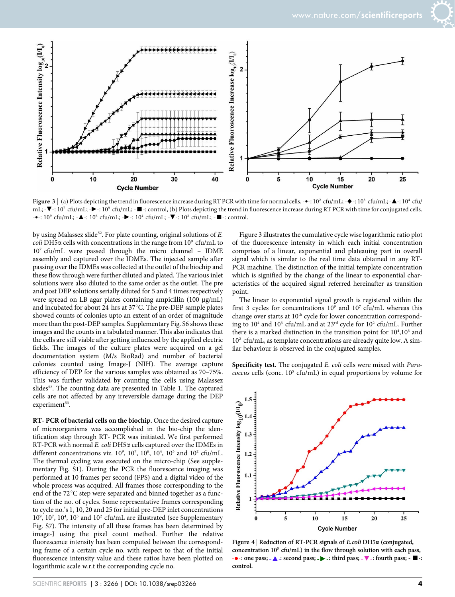

Figure 3 | (a) Plots depicting the trend in fluorescence increase during RT PCR with time for normal cells. -• -: 10<sup>2</sup> cfu/mL; -• -: 10<sup>3</sup> cfu/mL; -▲ -: 10<sup>4</sup> cfu/ mL; - $\blacktriangledown$ -: 10<sup>7</sup> cfu/mL; - $\blacktriangleright$ -: 10<sup>9</sup> cfu/mL; - $\blacktriangleright$ -: control, (b) Plots depicting the trend in fluorescence increase during RT PCR with time for conjugated cells.  $-$  -:  $10^9$  cfu/mL;  $-\Delta$ -:  $10^6$  cfu/mL;  $-\blacktriangleright$ -:  $10^4$  cfu/mL;  $-\blacktriangledown$ -:  $10^3$  cfu/mL;  $-\blacktriangleright$ -: control.

by using Malassez slide<sup>52</sup>. For plate counting, original solutions of *E*. coli DH5α cells with concentrations in the range from 10<sup>9</sup> cfu/mL to 10<sup>7</sup> cfu/mL were passed through the micro channel – IDME assembly and captured over the IDMEs. The injected sample after passing over the IDMEs was collected at the outlet of the biochip and these flow through were further diluted and plated. The various inlet solutions were also diluted to the same order as the outlet. The pre and post DEP solutions serially diluted for 5 and 4 times respectively were spread on LB agar plates containing ampicillin (100 µg/mL) and incubated for about 24 hrs at  $37^{\circ}$ C. The pre-DEP sample plates showed counts of colonies upto an extent of an order of magnitude more than the post-DEP samples. Supplementary Fig. S6 shows these images and the counts in a tabulated manner. This also indicates that the cells are still viable after getting influenced by the applied electric fields. The images of the culture plates were acquired on a gel documentation system (M/s BioRad) and number of bacterial colonies counted using Image-J (NIH). The average capture efficiency of DEP for the various samples was obtained as 70–75%. This was further validated by counting the cells using Malassez slides<sup>52</sup>. The counting data are presented in Table 1. The captured cells are not affected by any irreversible damage during the DEP experiment<sup>53</sup>.

RT- PCR of bacterial cells on the biochip. Once the desired capture of microorganisms was accomplished in the bio-chip the identification step through RT- PCR was initiated. We first performed RT-PCR with normal *E. coli* DH5a cells captured over the IDMEs in different concentrations viz.  $10^9$ ,  $10^7$ ,  $10^6$ ,  $10^4$ ,  $10^3$  and  $10^2$  cfu/mL. The thermal cycling was executed on the micro-chip (See supplementary Fig. S1). During the PCR the fluorescence imaging was performed at 10 frames per second (FPS) and a digital video of the whole process was acquired. All frames those corresponding to the end of the 72 $\degree$ C step were separated and binned together as a function of the no. of cycles. Some representative frames corresponding to cycle no.'s 1, 10, 20 and 25 for initial pre-DEP inlet concentrations 10<sup>9</sup>, 10<sup>7</sup>, 10<sup>4</sup>, 10<sup>3</sup> and 10<sup>2</sup> cfu/mL are illustrated (see Supplementary Fig. S7). The intensity of all these frames has been determined by image-J using the pixel count method. Further the relative fluorescence intensity has been computed between the corresponding frame of a certain cycle no. with respect to that of the initial fluorescence intensity value and these ratios have been plotted on logarithmic scale w.r.t the corresponding cycle no.

Figure 3 illustrates the cumulative cycle wise logarithmic ratio plot of the fluorescence intensity in which each initial concentration comprises of a linear, exponential and plateauing part in overall signal which is similar to the real time data obtained in any RT-PCR machine. The distinction of the initial template concentration which is signified by the change of the linear to exponential characteristics of the acquired signal referred hereinafter as transition point.

The linear to exponential signal growth is registered within the first 3 cycles for concentrations  $10^9$  and  $10^7$  cfu/mL whereas this change over starts at  $10<sup>th</sup>$  cycle for lower concentration corresponding to 10<sup>4</sup> and 10<sup>3</sup> cfu/mL and at 23<sup>rd</sup> cycle for 10<sup>2</sup> cfu/mL. Further there is a marked distinction in the transition point for  $10^4$ ,  $10^3$  and 10<sup>2</sup> cfu/mL, as template concentrations are already quite low. A similar behaviour is observed in the conjugated samples.

Specificity test. The conjugated *E. coli* cells were mixed with *Para*coccus cells (conc. 10<sup>5</sup> cfu/mL) in equal proportions by volume for



Figure 4 | Reduction of RT-PCR signals of E.coli DH5a (conjugated, concentration 10<sup>5</sup> cfu/mL) in the flow through solution with each pass,  $\bullet$  : one pass;  $\bullet \blacktriangle$  : second pass;  $\bullet \blacktriangleright$  : third pass;  $\bullet \blacktriangleright$  : fourth pass;  $\bullet \blacksquare$  : control.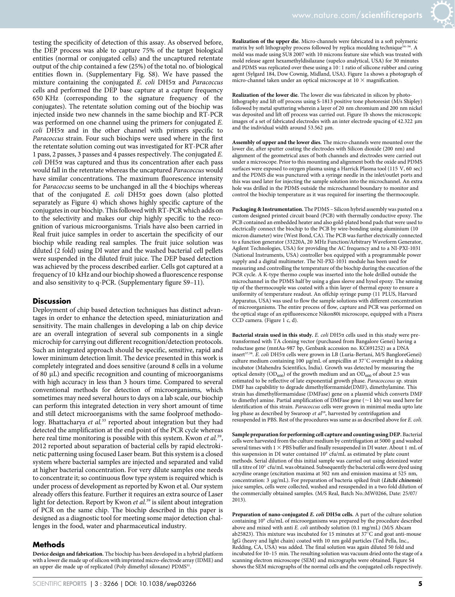testing the specificity of detection of this assay. As observed before, the DEP process was able to capture 75% of the target biological entities (normal or conjugated cells) and the uncaptured retentate output of the chip contained a few (25%) of the total no. of biological entities flown in. (Supplementary Fig. S8). We have passed the mixture containing the conjugated *E. coli* DH5a and *Paracoccus* cells and performed the DEP base capture at a capture frequency 650 KHz (corresponding to the signature frequency of the conjugates). The retentate solution coming out of the biochip was injected inside two new channels in the same biochip and RT-PCR was performed on one channel using the primers for conjugated *E.*  $\text{coll}$  DH5 $\alpha$  and in the other channel with primers specific to *Paracoccus* strain. Four such biochips were used where in the first the retentate solution coming out was investigated for RT-PCR after 1 pass, 2 passes, 3 passes and 4 passes respectively. The conjugated *E. coli* DH5a was captured and thus its concentration after each pass would fall in the retentate whereas the uncaptured *Paracoccus* would have similar concentrations. The maximum fluorescence intensity for *Paracoccus* seems to be unchanged in all the 4 biochips whereas that of the conjugated *E. coli* DH5a goes down (also plotted separately as Figure 4) which shows highly specific capture of the conjugates in our biochip. This followed with RT-PCR which adds on to the selectivity and makes our chip highly specific to the recognition of various microorganisms. Trials have also been carried in Real fruit juice samples in order to ascertain the specificity of our biochip while reading real samples. The fruit juice solution was diluted (2 fold) using DI water and the washed bacterial cell pellets were suspended in the diluted fruit juice. The DEP based detection was achieved by the process described earlier. Cells got captured at a frequency of 10 kHz and our biochip showed a fluorescence response and also sensitivity to q-PCR. (Supplementary figure S9–11).

#### **Discussion**

Deployment of chip based detection techniques has distinct advantages in order to enhance the detection speed, miniaturization and sensitivity. The main challenges in developing a lab on chip device are an overall integration of several sub components in a single microchip for carrying out different recognition/detection protocols. Such an integrated approach should be specific, sensitive, rapid and lower minimum detection limit. The device presented in this work is completely integrated and does sensitive (around 8 cells in a volume of 80 mL) and specific recognition and counting of microorganisms with high accuracy in less than 3 hours time. Compared to several conventional methods for detection of microorganisms, which sometimes may need several hours to days on a lab scale, our biochip can perform this integrated detection in very short amount of time and still detect microorganisms with the same foolproof methodology. Bhattacharya et al.<sup>33</sup> reported about integration but they had detected the amplification at the end point of the PCR cycle whereas here real time monitoring is possible with this system. Kwon *et al.*<sup>39</sup> , 2012 reported about separation of bacterial cells by rapid electrokinetic patterning using focused Laser beam. But this system is a closed system where bacterial samples are injected and separated and valid at higher bacterial concentration. For very dilute samples one needs to concentrate it; so continuous flow type system is required which is under process of development as reported by Kwon et al. Our system already offers this feature. Further it requires an extra source of Laser light for detection. Report by Kwon *et al.*<sup>39</sup> is silent about integration of PCR on the same chip. The biochip described in this paper is designed as a diagnostic tool for meeting some major detection challenges in the food, water and pharmaceutical industry.

#### Methods

Device design and fabrication. The biochip has been developed in a hybrid platform with a lower die made up of silicon with imprinted micro-electrode array (IDME) and an upper die made up of replicated (Poly dimethyl siloxane) PDMS<sup>51</sup>.

Realization of the upper die. Micro-channels were fabricated in a soft polymeric matrix by soft lithography process followed by replica moulding technique<sup>54-1</sup> mold was made using SU8 2007 with 10 microns feature size which was treated with mold release agent hexamethyldisilazane (supelco analytical, USA) for 30 minutes and PDMS was replicated over these using a 10:1 ratio of silicone rubber and curing agent (Sylgard 184, Dow Cownig, Midland, USA). Figure 1a shows a photograph of micro-channel taken under an optical microscope at 10  $\times$  magnification.

Realization of the lower die. The lower die was fabricated in silicon by photolithography and lift off process using S-1813 positive tone photoresist (M/s Shipley) followed by metal sputtering wherein a layer of 20 nm chromium and 200 nm nickel was deposited and lift off process was carried out. Figure 1b shows the microscopic images of a set of fabricated electrodes with an inter electrode spacing of  $42.322 \mu m$ and the individual width around  $53.562 \mu m$ .

Assembly of upper and the lower dies. The micro-channels were mounted over the lower die, after sputter coating the electrodes with Silicon dioxide (200 nm) and alignment of the geometrical axes of both channels and electrodes were carried out under a microscope. Prior to this mounting and alignment both the oxide and PDMS surfaces were exposed to oxygen plasma using a Harrick Plasma tool (115 V, 60 sec) and the PDMS die was punctured with a syringe needle in the inlet/outlet ports and this was used later for injecting the sample solution into the microchannel. An extra hole was drilled in the PDMS outside the microchannel boundary to monitor and control the biochip temperature as it was required for inserting the thermocouple.

Packaging & Instrumentation. The PDMS – Silicon hybrid assembly was pasted on a custom designed printed circuit board (PCB) with thermally conductive epoxy. The PCB contained an embedded heater and also gold-plated bond pads that were used to electrically connect the biochip to the PCB by wire-bonding using aluminium (10 micron diameter) wire (West Bond, CA). The PCB was further electrically connected to a function generator (33220A, 20 MHz Function/Arbitrary Waveform Generator, Agilent Technologies, USA) for providing the AC frequency and to a NI-PXI-1031 (National Instruments, USA) controller box equipped with a programmable power supply and a digital multimeter. The NI-PXI-1031 module has been used for measuring and controlling the temperature of the biochip during the execution of the PCR cycle. A K-type thermo couple was inserted into the hole drilled outside the microchannel in the PDMS half by using a glass sleeve and hysol epoxy. The sensing tip of the thermocouple was coated with a thin layer of thermal epoxy to ensure a uniformity of temperature readout. An offchip syringe pump (11 PLUS, Harvard Apparatus, USA) was used to flow the sample solutions with different concentration of microorganisms. The entire process of flow, capture and PCR was performed on the optical stage of an epifluorescence Nikon80i microscope, equipped with a Pixera CCD camera. (Figure 1 c, d).

Bacterial strain used in this study.  $E$ . *coli*  $DH5\alpha$  cells used in this study were pretransformed with TA cloning vector (purchased from Bangalore Genei) having a reductase gene (mntAa-987 bp, Genbank accession no. KC691252) as a DNA insert<sup>57,58</sup>. E. coli DH5α cells were grown in LB (Luria-Bertani, M/S BangloreGenei) culture medium containing 100  $\mu$ g/mL of ampicillin at 37°C overnight in a shaking incubator (Mahendra Scientifics, India). Growth was detected by measuring the optical density (OD<sub>600</sub>) of the growth medium and an OD<sub>600</sub> of about 2.5 was estimated to be reflective of late exponential growth phase. *Paracoccous* sp. strain DMF has capabilitiy to degrade dimethylformamide(DMF), dimethylamine. This strain has dimethylformamidase (DMFase) gene on a plasmid which converts DMF to dimethyl amine. Partial amplification of DMFase gene ( $\sim$ 1 kb) was used here for identification of this strain. *Paracoccus* cells were grown in minimal media upto late log phase as described by Swaroop et al<sup>59</sup>, harvested by centrifugation and resuspended in PBS. Rest of the procedures was same as as described above for *E. coli*.

Sample preparation for performing cell capture and counting using DEP. Bacterial cells were harvested from the culture medium by centrifugation at 5000 g and washed several times with  $1 \times$  PBS buffer and finally resuspended in DI water. About 1 mL of this suspension in DI water contained 10<sup>9</sup> cfu/mL as estimated by plate count methods. Serial dilution of this initial sample was carried out using deionized water till a titre of  $10^2$  cfu/mL was obtained. Subsequently the bacterial cells were dyed using acrydine orange (excitation maxima at 502 nm and emission maxima at 525 nm, concentration: 3 µg/mL). For preparation of bacteria spiked fruit (Litchi chinensis) juice samples, cells were collected, washed and resuspended in a two fold dilution of the commercially obtained samples. (M/S Real, Batch No.:MW0266, Date: 25/07/ 2013).

Preparation of nano-conjugated E. coli DH5a cells. A part of the culture solution containing 10<sup>9</sup> cfu/mL of microorganisms was prepared by the procedure described above and mixed with anti *E. coli* antibody solution (0.1 mg/mL) (M/S Abcam ab25823). This mixture was incubated for 15 minutes at  $37^{\circ}$ C and goat anti-mouse IgG (heavy and light chain) coated with 10 nm gold particles (Ted Pella, Inc., Redding, CA, USA) was added. The final solution was again diluted 50 fold and incubated for 10–15 min. The resulting solution was vacuum dried onto the stage of a scanning electron microscope (SEM) and micrographs were obtained. Figure S4 shows the SEM micrographs of the normal cells and the conjugated cells respectively.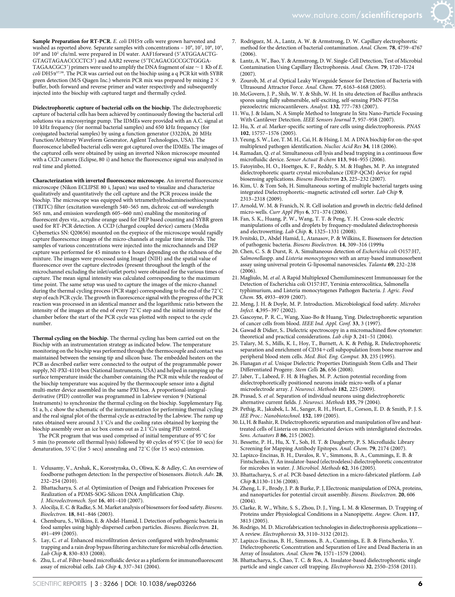Sample Preparation for RT-PCR. *E. coli* DH5a cells were grown harvested and washed as reported above. Separate samples with concentrations –  $10^9$ ,  $10^7$ ,  $10^6$ ,  $10^5$ , 10<sup>4</sup> and 10<sup>2</sup> cfu/mL were prepared in DI water. AAF1forward (5'ATGGAACTG-GTAGTAGAACCCCTC3') and AAR2 reverse (5'TCAGACGCCGCTGGGA-TAGAACGC3') primers were used to amplify the DNA fragment of size  $\sim$  1 Kb of *E*. *coli* DH5a 57,58. The PCR was carried out on the biochip using a q PCR kit with SYBR green detection (M/S Qiagen Inc.) wherein PCR mix was prepared by mixing 2  $\times$ buffer, both forward and reverse primer and water respectively and subsequently injected into the biochip with captured target and thermally cycled.

Dielectrophoretic capture of bacterial cells on the biochip. The dielectrophoretic capture of bacterial cells has been achieved by continuously flowing the bacterial cell solutions via a microsyringe pump. The IDMEs were provided with an A.C. signal at 10 kHz frequency (for normal bacterial samples) and 650 kHz frequency (for conjugated bacterial samples) by using a function generator (33220A, 20 MHz Function/Arbitrary Waveform Generator, Agilent Technologies, USA). The fluoroscence labelled bacterial cells were got captured over the IDMEs. The images of the captured cells were obtained by using an inverted Nikon microscope mounted with a CCD camera (Eclipse, 80 i) and hence the fluorescence signal was analyzed in real time and plotted.

Characterization with inverted fluorescence microscope. An inverted fluorescence microscope (Nikon ECLIPSE 80 i, Japan) was used to visualize and characterize qualitatively and quantitatively the cell capture and the PCR process inside the biochip. The microscope was equipped with tetramethylrhodamineisothiocyanate (TRITC) filter (excitation wavelength 540–565 nm, dichroic cut-off wavelength 565 nm, and emission wavelength 605–660 nm) enabling the monitoring of fluorescent dyes viz., acrydine orange used for DEP based counting and SYBR green used for RT-PCR detection. A CCD (charged coupled device) camera (Media Cybernetics SN: Q20656) mounted on the eyepiece of the microscope would rapidly capture fluorescence images of the micro-channels at regular time intervals. The samples of various concentrations were injected into the microchannels and DEP capture was performed for 45 minutes to 4 hours depending on the richness of the mixture. The images were processed using ImageJ (NIH) and the spatial value of fluorescence over the capture electrodes (present throughout the length of the microchannel excluding the inlet/outlet ports) were obtained for the various times of capture. The mean signal intensity was calculated corresponding to the maximum time point. The same setup was used to capture the images of the micro-channel during the thermal cycling process (PCR stage) corresponding to the end of the 72 $^{\circ}$ C step of each PCR cycle. The growth in fluorescence signal with the progress of the PCR reaction was processed in an identical manner and the logarithmic ratio between the intensity of the images at the end of every  $72^{\circ}$ C step and the initial intensity of the chamber before the start of the PCR cycle was plotted with respect to the cycle number.

Thermal cycling on the biochip. The thermal cycling has been carried out on the Biochip with an instrumentation strategy as indicated below. The temperature monitoring on the biochip was performed through the thermocouple and contact was maintained between the sensing tip and silicon base. The embedded heaters on the PCB as described earlier were connected to the output of the programmable power supply, NI-PXI-4110 box (National Instruments, USA) and helped in ramping up the surface temperature inside the chamber containing the PCR mix while the readout of the biochip temperature was acquired by the thermocouple sensor into a digital multi-meter device assembled in the same PXI box. A proportional-integralderivative (PID) controller was programmed in Labview version 9 (National Instruments) to synchronize the thermal cycling on the biochip. Supplementary Fig. S1 a, b, c show the schematic of the instrumentation for performing thermal cycling and the real signal plot of the thermal cycle as extracted by the Labview. The ramp up rates obtained were around 3.1°C/s and the cooling rates obtained by keeping the biochip assembly over an ice box comes out as  $2.1^{\circ}$ C/s using PID control.

The PCR program that was used comprised of initial temperature of  $95^{\circ}$ C for 5 min (to promote cell thermal lysis) followed by 40 cycles of  $95^{\circ}$ C (for 10 secs) for denaturation, 55°C (for 5 secs) annealing and 72°C (for 15 secs) extension.

- 1. Velusamy, V., Arshak, K., Korostynska, O., Oliwa, K. & Adley, C. An overview of foodborne pathogen detection: In the perspective of biosensors. *Biotech. Adv.* 28, 232–254 (2010).
- 2. Bhattacharya, S. *et al*. Optimization of Design and Fabrication Processes for Realization of a PDMS-SOG-Silicon DNA Amplification Chip. *J. Microelectromech. Syst* 16, 401–410 (2007).
- 3. Alocilja, E. C. & Radke, S. M. Market analysis of biosensors for food safety. *Biosens. Bioelectron.* 18, 841–846 (2003).
- 4. Chemburu, S., Wilkins, E. & Abdel-Hamid, I. Detection of pathogenic bacteria in food samples using highly-dispersed carbon particles. *Biosens. Bioelectron.* 21, 491–499 (2005).
- 5. Lay, C. *et al*. Enhanced microfiltration devices configured with hydrodynamic trapping and a rain drop bypass filtering architecture for microbial cells detection. *Lab Chip* 8, 830–833 (2008).
- 6. Zhu, L.*et al*. Filter-based microfluidic device as a platform for immunofluorescent assay of microbial cells. *Lab Chip* 4, 337–341 (2004).
- 7. Rodriguez, M. A., Lantz, A. W. & Armstrong, D. W. Capillary electrophoretic method for the detection of bacterial contamination. *Anal. Chem.* 78, 4759–4767  $(2006)$
- 8. Lantz, A. W., Bao, Y. & Armstrong, D. W. Single-Cell Detection, Test of Microbial Contamination Using Capillary Electrophoresis. *Anal. Chem.* 79, 1720–1724 (2007).
- 9. Zourob, M. *et al*. Optical Leaky Waveguide Sensor for Detection of Bacteria with Ultrasound Attractor Force. *Anal. Chem.* 77, 6163–6168 (2005).
- 10. McGovern, J. P., Shih, W. Y. & Shih, W. H. In situ detection of Bacillus anthracis spores using fully submersible, self-exciting, self-sensing PMN-PT/Sn piezoelectric microcantilevers. *Analyst.* 132, 777–783 (2007).
- 11. Wu, J. & Islam, N. A Simple Method to Integrate In Situ Nano-Particle Focusing With Cantilever Detection. *IEEE Sensors Journal* 7, 957–958 (2007).
- 12. Hu, X. *et al*. Marker-specific sorting of rare cells using dielectrophoresis. *PNAS* 102, 15757–1576 (2005).
- 13. Yeung, S. W., Lee, T. M. H., Cai, H. & Hsing, I. M. A DNA biochip for on-the-spot multiplexed pathogen identification. *Nucliec Acid Res* 34, 118 (2006).
- 14. Ramadan, Q. *et al*. Simultaneous cell lysis and bead trapping in a continuous flow microfluidic device. *Sensor Actuat B-chem* 113, 944–955 (2006).
- 15. Fatoyinbo, H. O., Hoettges, K. F., Reddy, S. M. & Hughes, M. P. An integrated dielectrophoretic quartz crystal microbalance (DEP-QCM) device for rapid biosensing applications. *Biosens Bioelectron* 23, 225–232 (2007).
- 16. Kim, U. & Tom Soh, H. Simultaneous sorting of multiple bacterial targets using integrated Dielectrophoretic–magnetic activated cell sorter. *Lab Chip* 9, 2313–2318 (2009).
- 17. Arnold, W. M. & Franich, N. R. Cell isolation and growth in electric-field defined micro-wells. *Curr Appl Phys* 6, 371–374 (2006).
- 18. Fan, S. K., Huang, P. W., Wang, T. T. & Peng, Y. H. Cross-scale electric manipulations of cells and droplets by frequency-modulated dielectrophoresis and electrowetting. *Lab Chip.* 8, 1325–1331 (2008).
- 19. Ivnitski, D., Abdel Hamid, I., Atanasov, P. & Wilkins, E. Biosensors for detection of pathogenic bacteria. *Biosens Bioelectron.* 14, 309–316 (1999a
- 20. Chen, C. S. & Durst, R. A. Simultaneous detection of *Escherichia coli* O157:H7, *Salmonella*spp. and *Listeria monocytogenes* with an array-based immunosorbent assay using universal protein G-liposomal nanovesicles. *Talanta* 69, 232–238  $(2006)$
- 21. Magliulo, M. *et al*. A Rapid Multiplexed Chemiluminescent Immunoassay for the Detection of Escherichia coli O157:H7, Yersinia enterocolitica, Salmonella typhimurium, and Listeria monocytogenes Pathogen Bacteria. *J. Agric. Food Chem.* 55, 4933–4939 (2007).
- 22. Meng, J. H. & Doyle, M. P. Introduction. Microbiological food safety. *Microbes Infect.* 4,395–397 (2002).
- 23. Gascoyne, P. R. C., Wang, Xiao-Bo & Huang, Ying. Dielectrophoretic separation of cancer cells from blood. *IEEE Ind. Appl. Conf.* 33, 3 (1997).
- 24. Gawad & Didier, S.. Dielectric spectroscopy in a micromachined flow cytometer: theoretical and practical considerations. *Lab chip* 3, 241–51 (2004).
- 25. Talary, M. S., Mills, K. I., Hoy, T., Burnett, A. K. & Pethig, R. Dielectrophoretic separation and enrichment of  $CD34+cell$  subpopulation from bone marrow and peripheral blood stem cells. *Med. Biol. Eng. Comput.* 33, 235 (1995).
- 26. Flanagan *et al*. Unique Dielectric Properties Distinguish Stem Cells and Their Differentiated Progeny. *Stem Cells* 26, 656 (2008).
- 27. Jaber, T., Labeed, F. H. & Hughes, M. P. Action potential recording from dielectrophoretically positioned neurons inside micro-wells of a planar microelectrode array. *J. Neurosci. Methods* 182, 225 (2009).
- 28. Prasad, S. *et al*. Separation of individual neurons using dielectrophoretic alternative current fields. *J. Neurosci. Methods* 135, 79 (2004).
- 29. Pethig, R., Jakubek, L. M., Sanger, R. H., Heart, E., Corson, E. D. & Smith, P. J. S. *IEE Proc.: Nanobiotechnol.* 152, 189 (2005).
- 30. Li, H. & Bashir, R. Dielectrophoretic separation and manipulation of live and heattreated cells of Listeria on microfabricated devices with interdigitated electrodes. *Sens. Actuators B* 86, 215 (2002).
- 31. Bessette, P. H., Hu, X. Y., Soh, H. T. & Daugherty, P. S. Microfluidic Library Screening for Mapping Antibody Epitopes. *Anal. Chem.* 79, 2174 (2007).
- 32. Lapizco-Encinas, B. H., Davalos, R. V., Simmons, B. A., Cummings, E. B. & Fintschenko, Y. An insulator-based (electrodeless) dielectrophoretic concentrator for microbes in water. *J. Microbiol. Methods* 62, 316 (2005).
- 33. Bhattacharya, S. *et al*. PCR-based detection in a micro-fabricated platform. *Lab Chip* 8,1130–1136 (2008).
- 34. Zheng, L. F., Brody, J. P. & Burke, P. J, Electronic manipulation of DNA, proteins, and nanoparticles for potential circuit assembly. *Biosens. Bioelectron.* 20, 606 (2004).
- 35. Clarke, R. W., White, S. S., Zhou, D. J., Ying, L. M. & Klenerman, D. Trapping of Proteins under Physiological Conditions in a Nanopipette. *Angew. Chem.* 117, 3813 (2005).
- 36. Rodrigo, M. D. Microfabrication technologies in dielectrophoresis applications— A review. *Electrophoresis* 33, 3110–3132 (2012).
- 37. Lapizco-Encinas, B. H., Simmons, B. A., Cummings, E. B. & Fintschenko, Y. Dielectrophoretic Concentration and Separation of Live and Dead Bacteria in an Array of Insulators. *Anal. Chem* 76, 1571–1579 (2004).
- 38. Bhattacharya, S., Chao, T. C. & Ros, A. Insulator-based dielectrophoretic single particle and single cancer cell trapping. *Electrophoresis* 32, 2550–2558 (2011).